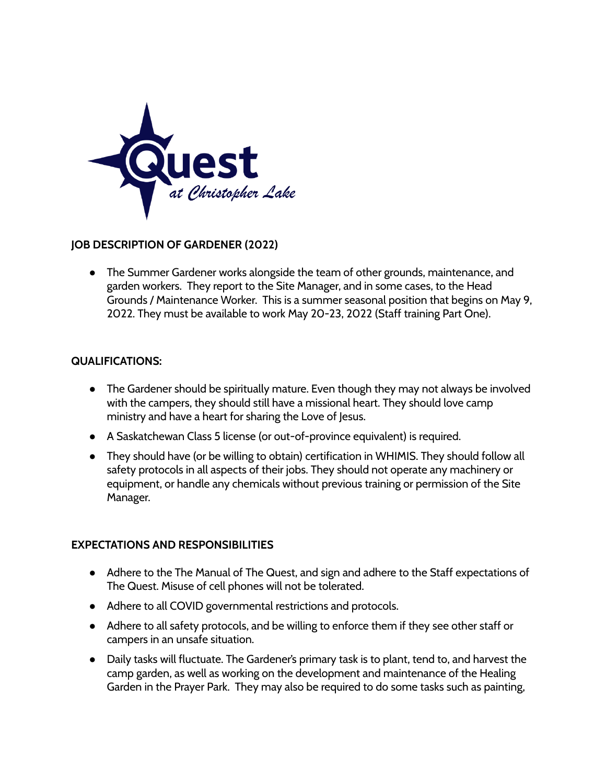

## **JOB DESCRIPTION OF GARDENER (2022)**

● The Summer Gardener works alongside the team of other grounds, maintenance, and garden workers. They report to the Site Manager, and in some cases, to the Head Grounds / Maintenance Worker. This is a summer seasonal position that begins on May 9, 2022. They must be available to work May 20-23, 2022 (Staff training Part One).

## **QUALIFICATIONS:**

- The Gardener should be spiritually mature. Even though they may not always be involved with the campers, they should still have a missional heart. They should love camp ministry and have a heart for sharing the Love of Jesus.
- A Saskatchewan Class 5 license (or out-of-province equivalent) is required.
- They should have (or be willing to obtain) certification in WHIMIS. They should follow all safety protocols in all aspects of their jobs. They should not operate any machinery or equipment, or handle any chemicals without previous training or permission of the Site Manager.

## **EXPECTATIONS AND RESPONSIBILITIES**

- Adhere to the The Manual of The Quest, and sign and adhere to the Staff expectations of The Quest. Misuse of cell phones will not be tolerated.
- Adhere to all COVID governmental restrictions and protocols.
- Adhere to all safety protocols, and be willing to enforce them if they see other staff or campers in an unsafe situation.
- Daily tasks will fluctuate. The Gardener's primary task is to plant, tend to, and harvest the camp garden, as well as working on the development and maintenance of the Healing Garden in the Prayer Park. They may also be required to do some tasks such as painting,